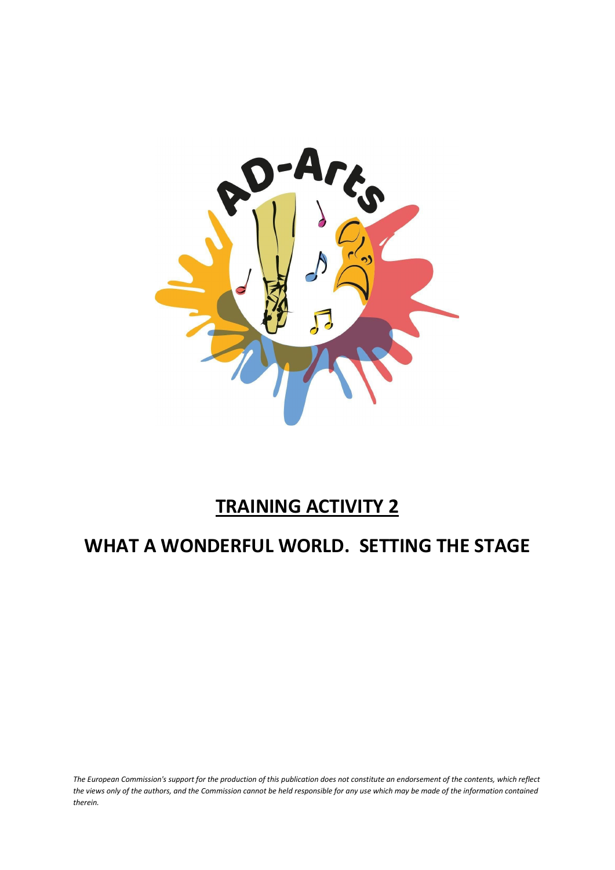

# **TRAINING ACTIVITY 2**

## **WHAT A WONDERFUL WORLD. SETTING THE STAGE**

*The European Commission's support for the production of this publication does not constitute an endorsement of the contents, which reflect the views only of the authors, and the Commission cannot be held responsible for any use which may be made of the information contained therein.*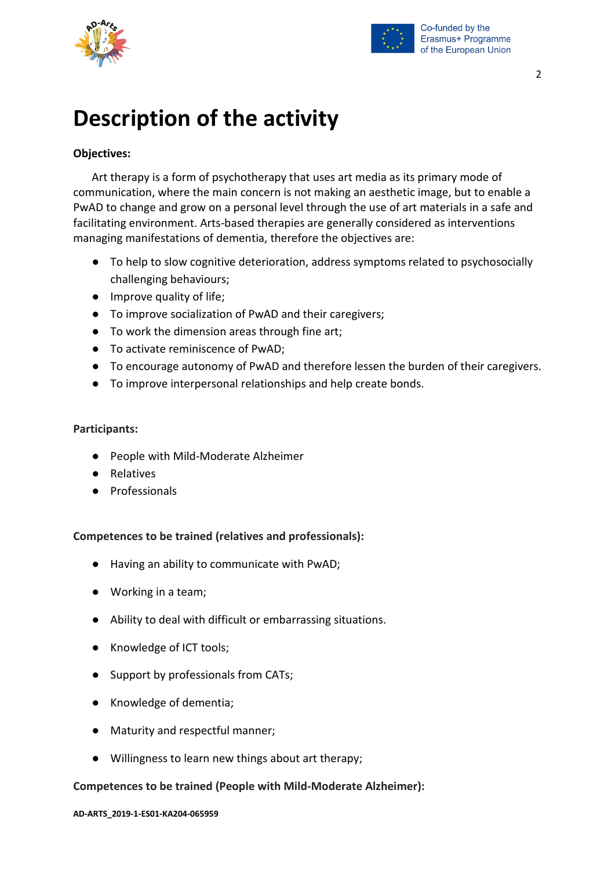



# **Description of the activity**

### **Objectives:**

Art therapy is a form of psychotherapy that uses art media as its primary mode of communication, where the main concern is not making an aesthetic image, but to enable a PwAD to change and grow on a personal level through the use of art materials in a safe and facilitating environment. Arts‐based therapies are generally considered as interventions managing manifestations of dementia, therefore the objectives are:

- To help to slow cognitive deterioration, address symptoms related to psychosocially challenging behaviours;
- Improve quality of life;
- To improve socialization of PwAD and their caregivers;
- To work the dimension areas through fine art;
- To activate reminiscence of PwAD:
- To encourage autonomy of PwAD and therefore lessen the burden of their caregivers.
- To improve interpersonal relationships and help create bonds.

#### **Participants:**

- People with Mild-Moderate Alzheimer
- Relatives
- Professionals

#### **Competences to be trained (relatives and professionals):**

- Having an ability to communicate with PwAD;
- Working in a team;
- Ability to deal with difficult or embarrassing situations.
- Knowledge of ICT tools;
- Support by professionals from CATs;
- Knowledge of dementia;
- Maturity and respectful manner;
- Willingness to learn new things about art therapy;

#### **Competences to be trained (People with Mild-Moderate Alzheimer):**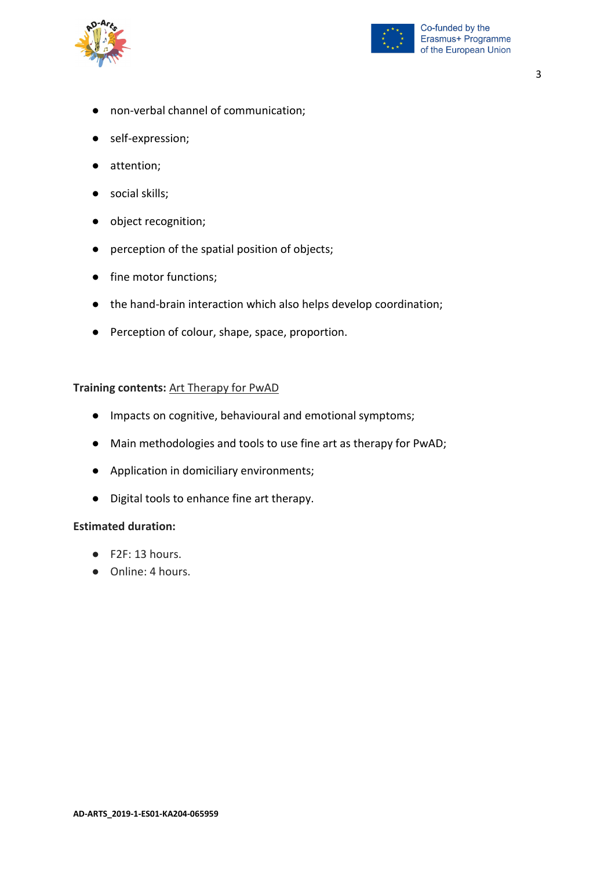



- non-verbal channel of communication;
- self-expression;
- attention;
- social skills;
- object recognition;
- perception of the spatial position of objects;
- fine motor functions;
- the hand-brain interaction which also helps develop coordination;
- Perception of colour, shape, space, proportion.

#### **Training contents:** Art Therapy for PwAD

- Impacts on cognitive, behavioural and emotional symptoms;
- Main methodologies and tools to use fine art as therapy for PwAD;
- Application in domiciliary environments;
- Digital tools to enhance fine art therapy.

#### **Estimated duration:**

- F2F: 13 hours.
- Online: 4 hours.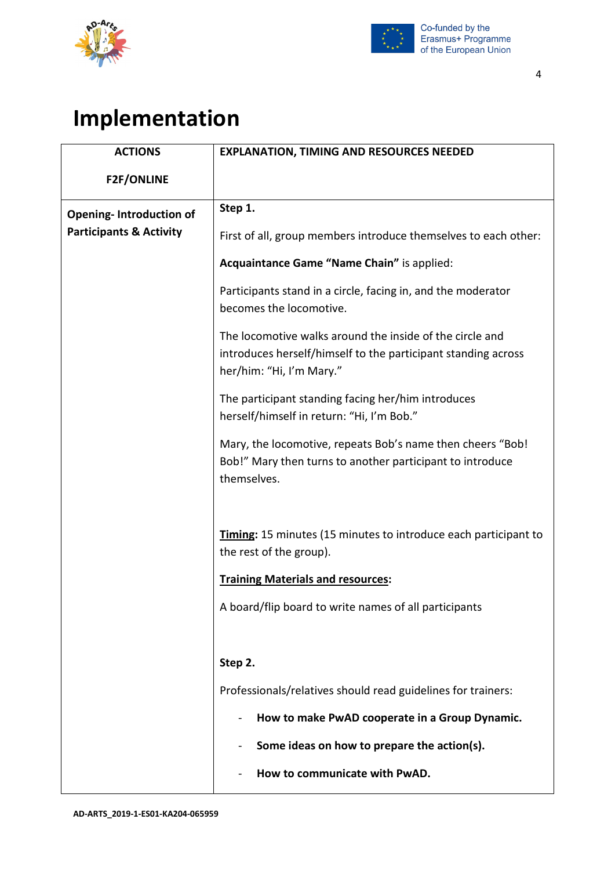



### 4

# **Implementation**

| <b>ACTIONS</b>                     | <b>EXPLANATION, TIMING AND RESOURCES NEEDED</b>                                                                                                       |
|------------------------------------|-------------------------------------------------------------------------------------------------------------------------------------------------------|
| <b>F2F/ONLINE</b>                  |                                                                                                                                                       |
| <b>Opening-Introduction of</b>     | Step 1.                                                                                                                                               |
| <b>Participants &amp; Activity</b> | First of all, group members introduce themselves to each other:                                                                                       |
|                                    | Acquaintance Game "Name Chain" is applied:                                                                                                            |
|                                    | Participants stand in a circle, facing in, and the moderator<br>becomes the locomotive.                                                               |
|                                    | The locomotive walks around the inside of the circle and<br>introduces herself/himself to the participant standing across<br>her/him: "Hi, I'm Mary." |
|                                    | The participant standing facing her/him introduces<br>herself/himself in return: "Hi, I'm Bob."                                                       |
|                                    | Mary, the locomotive, repeats Bob's name then cheers "Bob!<br>Bob!" Mary then turns to another participant to introduce<br>themselves.                |
|                                    | Timing: 15 minutes (15 minutes to introduce each participant to<br>the rest of the group).                                                            |
|                                    | <b>Training Materials and resources:</b>                                                                                                              |
|                                    | A board/flip board to write names of all participants                                                                                                 |
|                                    | Step 2.                                                                                                                                               |
|                                    | Professionals/relatives should read guidelines for trainers:                                                                                          |
|                                    | How to make PwAD cooperate in a Group Dynamic.                                                                                                        |
|                                    | Some ideas on how to prepare the action(s).                                                                                                           |
|                                    | How to communicate with PwAD.                                                                                                                         |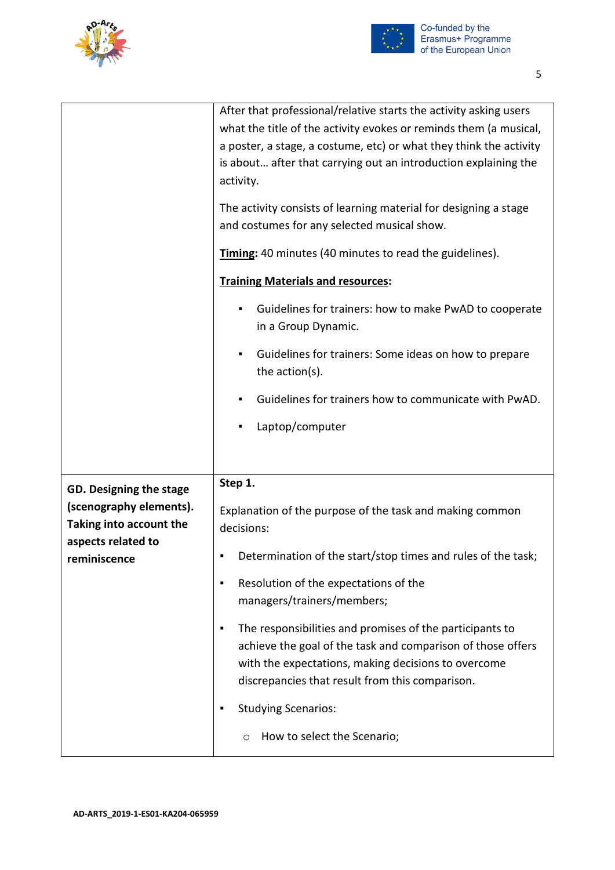



|                                                    | After that professional/relative starts the activity asking users<br>what the title of the activity evokes or reminds them (a musical,                                                                                                 |
|----------------------------------------------------|----------------------------------------------------------------------------------------------------------------------------------------------------------------------------------------------------------------------------------------|
|                                                    | a poster, a stage, a costume, etc) or what they think the activity<br>is about after that carrying out an introduction explaining the                                                                                                  |
|                                                    | activity.                                                                                                                                                                                                                              |
|                                                    | The activity consists of learning material for designing a stage<br>and costumes for any selected musical show.                                                                                                                        |
|                                                    | Timing: 40 minutes (40 minutes to read the guidelines).                                                                                                                                                                                |
|                                                    | <b>Training Materials and resources:</b>                                                                                                                                                                                               |
|                                                    | Guidelines for trainers: how to make PwAD to cooperate<br>in a Group Dynamic.                                                                                                                                                          |
|                                                    | Guidelines for trainers: Some ideas on how to prepare<br>٠<br>the action(s).                                                                                                                                                           |
|                                                    | Guidelines for trainers how to communicate with PwAD.                                                                                                                                                                                  |
|                                                    | Laptop/computer<br>٠                                                                                                                                                                                                                   |
|                                                    |                                                                                                                                                                                                                                        |
| GD. Designing the stage                            | Step 1.                                                                                                                                                                                                                                |
| (scenography elements).<br>Taking into account the | Explanation of the purpose of the task and making common<br>decisions:                                                                                                                                                                 |
| aspects related to<br>reminiscence                 | Determination of the start/stop times and rules of the task;<br>٠                                                                                                                                                                      |
|                                                    | Resolution of the expectations of the<br>٠<br>managers/trainers/members;                                                                                                                                                               |
|                                                    | The responsibilities and promises of the participants to<br>٠<br>achieve the goal of the task and comparison of those offers<br>with the expectations, making decisions to overcome<br>discrepancies that result from this comparison. |
|                                                    | <b>Studying Scenarios:</b><br>٠                                                                                                                                                                                                        |
|                                                    | How to select the Scenario;<br>O                                                                                                                                                                                                       |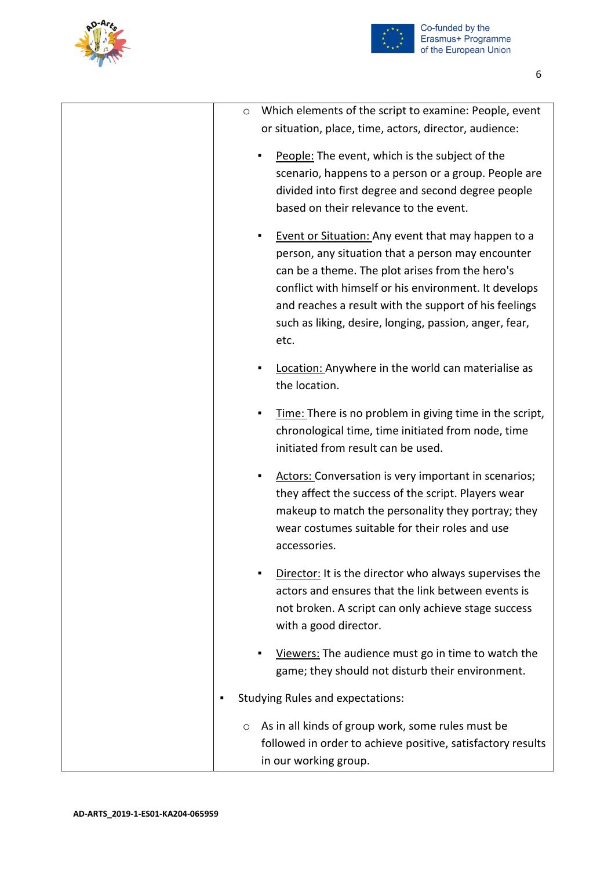



| Which elements of the script to examine: People, event<br>O<br>or situation, place, time, actors, director, audience:                                                                                                                                                                                                                               |
|-----------------------------------------------------------------------------------------------------------------------------------------------------------------------------------------------------------------------------------------------------------------------------------------------------------------------------------------------------|
| People: The event, which is the subject of the<br>scenario, happens to a person or a group. People are<br>divided into first degree and second degree people<br>based on their relevance to the event.                                                                                                                                              |
| Event or Situation: Any event that may happen to a<br>٠<br>person, any situation that a person may encounter<br>can be a theme. The plot arises from the hero's<br>conflict with himself or his environment. It develops<br>and reaches a result with the support of his feelings<br>such as liking, desire, longing, passion, anger, fear,<br>etc. |
| Location: Anywhere in the world can materialise as<br>the location.                                                                                                                                                                                                                                                                                 |
| Time: There is no problem in giving time in the script,<br>٠<br>chronological time, time initiated from node, time<br>initiated from result can be used.                                                                                                                                                                                            |
| Actors: Conversation is very important in scenarios;<br>٠<br>they affect the success of the script. Players wear<br>makeup to match the personality they portray; they<br>wear costumes suitable for their roles and use<br>accessories.                                                                                                            |
| Director: It is the director who always supervises the<br>actors and ensures that the link between events is<br>not broken. A script can only achieve stage success<br>with a good director.                                                                                                                                                        |
| Viewers: The audience must go in time to watch the<br>game; they should not disturb their environment.                                                                                                                                                                                                                                              |
| <b>Studying Rules and expectations:</b>                                                                                                                                                                                                                                                                                                             |
| As in all kinds of group work, some rules must be<br>O<br>followed in order to achieve positive, satisfactory results<br>in our working group.                                                                                                                                                                                                      |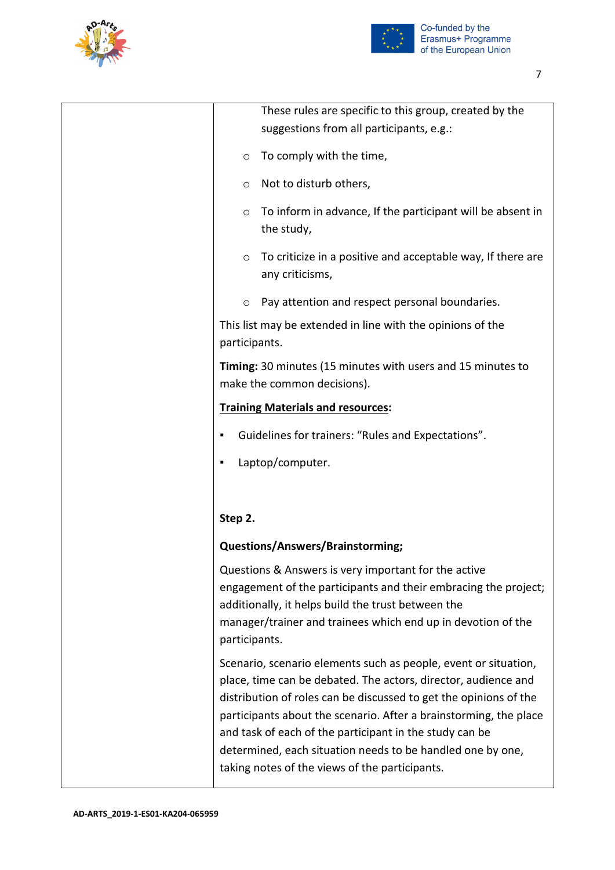



| These rules are specific to this group, created by the<br>suggestions from all participants, e.g.:                                                                                                                                                                                                                                                                                                                                                     |
|--------------------------------------------------------------------------------------------------------------------------------------------------------------------------------------------------------------------------------------------------------------------------------------------------------------------------------------------------------------------------------------------------------------------------------------------------------|
| To comply with the time,<br>O                                                                                                                                                                                                                                                                                                                                                                                                                          |
| Not to disturb others,<br>O                                                                                                                                                                                                                                                                                                                                                                                                                            |
| To inform in advance, If the participant will be absent in<br>$\circ$<br>the study,                                                                                                                                                                                                                                                                                                                                                                    |
| To criticize in a positive and acceptable way, If there are<br>O<br>any criticisms,                                                                                                                                                                                                                                                                                                                                                                    |
| Pay attention and respect personal boundaries.<br>O                                                                                                                                                                                                                                                                                                                                                                                                    |
| This list may be extended in line with the opinions of the<br>participants.                                                                                                                                                                                                                                                                                                                                                                            |
| Timing: 30 minutes (15 minutes with users and 15 minutes to<br>make the common decisions).                                                                                                                                                                                                                                                                                                                                                             |
| <b>Training Materials and resources:</b>                                                                                                                                                                                                                                                                                                                                                                                                               |
| Guidelines for trainers: "Rules and Expectations".                                                                                                                                                                                                                                                                                                                                                                                                     |
| Laptop/computer.                                                                                                                                                                                                                                                                                                                                                                                                                                       |
|                                                                                                                                                                                                                                                                                                                                                                                                                                                        |
| Step 2.                                                                                                                                                                                                                                                                                                                                                                                                                                                |
| <b>Questions/Answers/Brainstorming;</b>                                                                                                                                                                                                                                                                                                                                                                                                                |
| Questions & Answers is very important for the active<br>engagement of the participants and their embracing the project;<br>additionally, it helps build the trust between the<br>manager/trainer and trainees which end up in devotion of the<br>participants.                                                                                                                                                                                         |
| Scenario, scenario elements such as people, event or situation,<br>place, time can be debated. The actors, director, audience and<br>distribution of roles can be discussed to get the opinions of the<br>participants about the scenario. After a brainstorming, the place<br>and task of each of the participant in the study can be<br>determined, each situation needs to be handled one by one,<br>taking notes of the views of the participants. |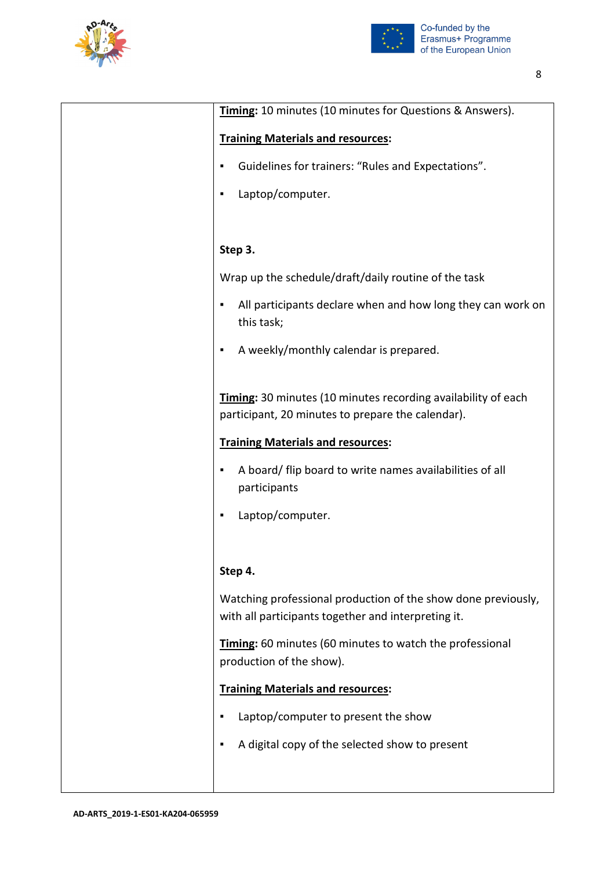



| Timing: 10 minutes (10 minutes for Questions & Answers).                                                             |
|----------------------------------------------------------------------------------------------------------------------|
| <b>Training Materials and resources:</b>                                                                             |
| Guidelines for trainers: "Rules and Expectations".<br>٠                                                              |
| Laptop/computer.<br>٠                                                                                                |
|                                                                                                                      |
| Step 3.                                                                                                              |
| Wrap up the schedule/draft/daily routine of the task                                                                 |
| All participants declare when and how long they can work on<br>٠<br>this task;                                       |
| A weekly/monthly calendar is prepared.<br>٠                                                                          |
| Timing: 30 minutes (10 minutes recording availability of each<br>participant, 20 minutes to prepare the calendar).   |
| <b>Training Materials and resources:</b>                                                                             |
| A board/ flip board to write names availabilities of all<br>٠<br>participants                                        |
| Laptop/computer.<br>٠                                                                                                |
|                                                                                                                      |
| Step 4.                                                                                                              |
| Watching professional production of the show done previously,<br>with all participants together and interpreting it. |
| Timing: 60 minutes (60 minutes to watch the professional<br>production of the show).                                 |
| <b>Training Materials and resources:</b>                                                                             |
| Laptop/computer to present the show<br>٠                                                                             |
| A digital copy of the selected show to present<br>٠                                                                  |
|                                                                                                                      |
|                                                                                                                      |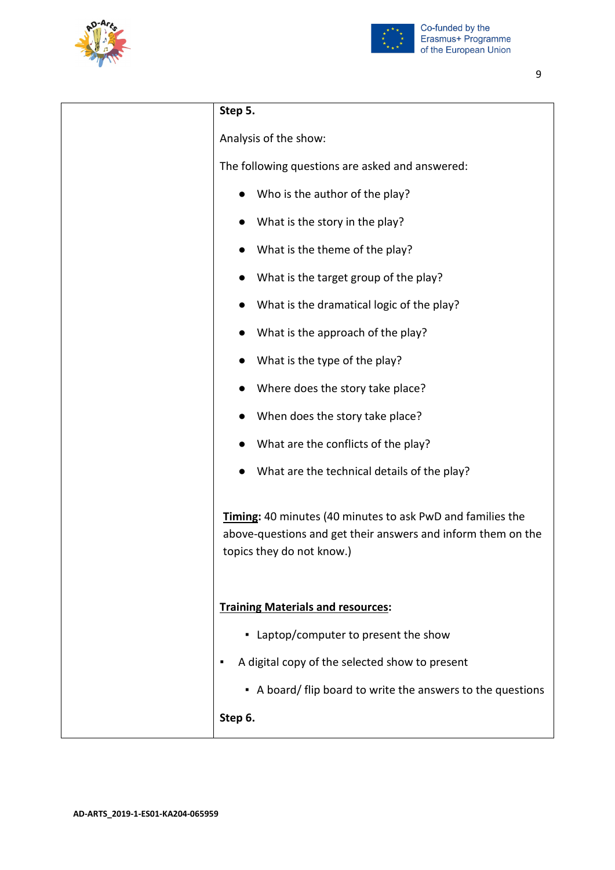



| Step 5.                                                                                                                                                        |
|----------------------------------------------------------------------------------------------------------------------------------------------------------------|
| Analysis of the show:                                                                                                                                          |
| The following questions are asked and answered:                                                                                                                |
| Who is the author of the play?                                                                                                                                 |
| What is the story in the play?                                                                                                                                 |
| What is the theme of the play?                                                                                                                                 |
| What is the target group of the play?                                                                                                                          |
| What is the dramatical logic of the play?                                                                                                                      |
| What is the approach of the play?                                                                                                                              |
| What is the type of the play?                                                                                                                                  |
| Where does the story take place?                                                                                                                               |
| When does the story take place?                                                                                                                                |
| What are the conflicts of the play?                                                                                                                            |
| What are the technical details of the play?                                                                                                                    |
| <b>Timing:</b> 40 minutes (40 minutes to ask PwD and families the<br>above-questions and get their answers and inform them on the<br>topics they do not know.) |
| <b>Training Materials and resources:</b>                                                                                                                       |
| • Laptop/computer to present the show                                                                                                                          |
| A digital copy of the selected show to present<br>п                                                                                                            |
| • A board/ flip board to write the answers to the questions                                                                                                    |
| Step 6.                                                                                                                                                        |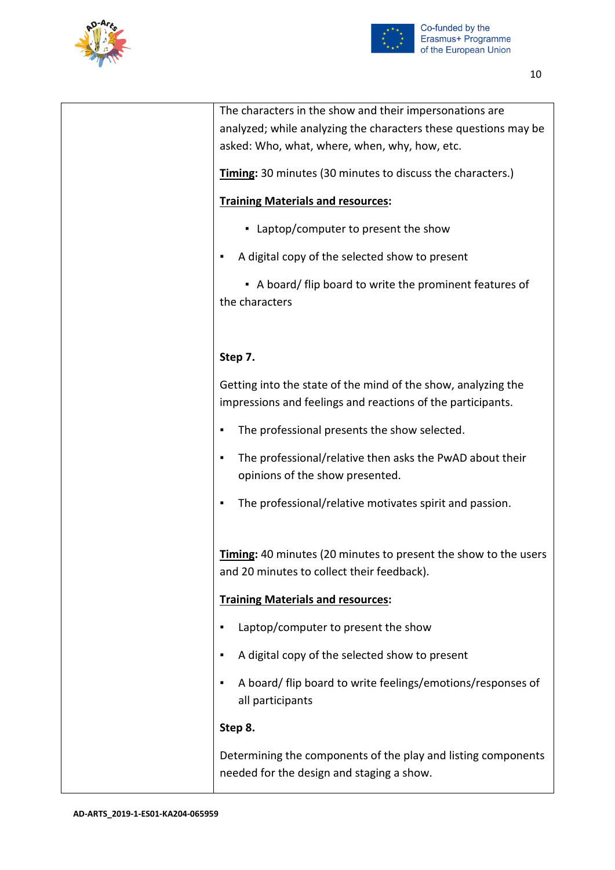



| The characters in the show and their impersonations are                                                                      |
|------------------------------------------------------------------------------------------------------------------------------|
| analyzed; while analyzing the characters these questions may be                                                              |
| asked: Who, what, where, when, why, how, etc.                                                                                |
| <b>Timing:</b> 30 minutes (30 minutes to discuss the characters.)                                                            |
| <b>Training Materials and resources:</b>                                                                                     |
| • Laptop/computer to present the show                                                                                        |
| A digital copy of the selected show to present<br>٠                                                                          |
| • A board/ flip board to write the prominent features of<br>the characters                                                   |
|                                                                                                                              |
| Step 7.                                                                                                                      |
| Getting into the state of the mind of the show, analyzing the<br>impressions and feelings and reactions of the participants. |
| The professional presents the show selected.<br>٠                                                                            |
| The professional/relative then asks the PwAD about their<br>٠<br>opinions of the show presented.                             |
| The professional/relative motivates spirit and passion.<br>٠                                                                 |
| <b>Timing:</b> 40 minutes (20 minutes to present the show to the users<br>and 20 minutes to collect their feedback).         |
| <b>Training Materials and resources:</b>                                                                                     |
| Laptop/computer to present the show                                                                                          |
| A digital copy of the selected show to present<br>٠                                                                          |
| A board/ flip board to write feelings/emotions/responses of<br>٠<br>all participants                                         |
| Step 8.                                                                                                                      |
| Determining the components of the play and listing components<br>needed for the design and staging a show.                   |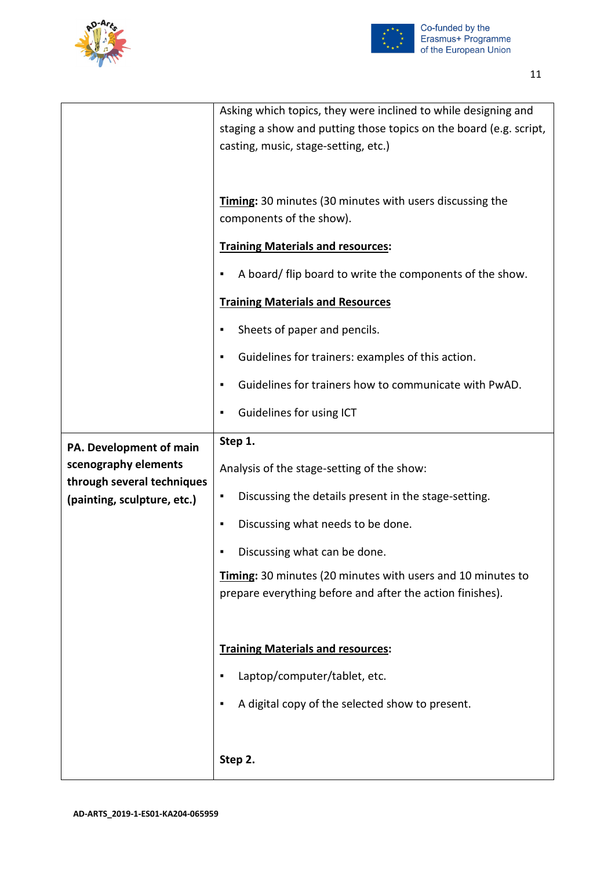



|                                                    | Asking which topics, they were inclined to while designing and<br>staging a show and putting those topics on the board (e.g. script,<br>casting, music, stage-setting, etc.) |
|----------------------------------------------------|------------------------------------------------------------------------------------------------------------------------------------------------------------------------------|
|                                                    | Timing: 30 minutes (30 minutes with users discussing the<br>components of the show).                                                                                         |
|                                                    | <b>Training Materials and resources:</b>                                                                                                                                     |
|                                                    | A board/ flip board to write the components of the show.<br>٠                                                                                                                |
|                                                    | <b>Training Materials and Resources</b>                                                                                                                                      |
|                                                    | Sheets of paper and pencils.<br>٠                                                                                                                                            |
|                                                    | Guidelines for trainers: examples of this action.<br>٠                                                                                                                       |
|                                                    | Guidelines for trainers how to communicate with PwAD.<br>٠                                                                                                                   |
|                                                    | Guidelines for using ICT<br>٠                                                                                                                                                |
| PA. Development of main                            | Step 1.                                                                                                                                                                      |
| scenography elements<br>through several techniques | Analysis of the stage-setting of the show:                                                                                                                                   |
| (painting, sculpture, etc.)                        | Discussing the details present in the stage-setting.<br>٠                                                                                                                    |
|                                                    | Discussing what needs to be done.<br>٠                                                                                                                                       |
|                                                    | Discussing what can be done.<br>٠                                                                                                                                            |
|                                                    | <b>Timing:</b> 30 minutes (20 minutes with users and 10 minutes to<br>prepare everything before and after the action finishes).                                              |
|                                                    |                                                                                                                                                                              |
|                                                    | <b>Training Materials and resources:</b>                                                                                                                                     |
|                                                    | Laptop/computer/tablet, etc.<br>٠                                                                                                                                            |
|                                                    | A digital copy of the selected show to present.<br>٠                                                                                                                         |
|                                                    |                                                                                                                                                                              |
|                                                    | Step 2.                                                                                                                                                                      |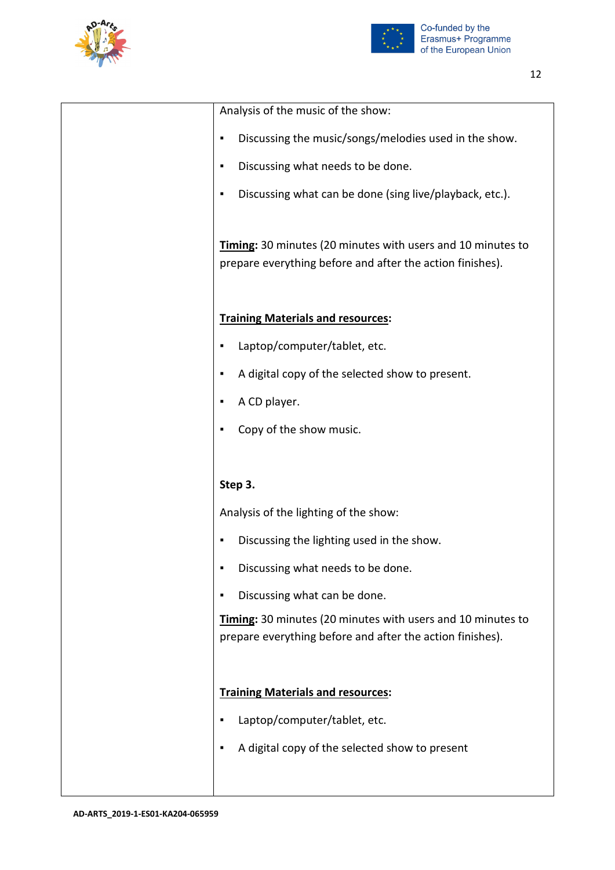



| Analysis of the music of the show:                           |
|--------------------------------------------------------------|
| Discussing the music/songs/melodies used in the show.<br>٠   |
| Discussing what needs to be done.<br>٠                       |
| Discussing what can be done (sing live/playback, etc.).<br>٠ |
|                                                              |
| Timing: 30 minutes (20 minutes with users and 10 minutes to  |
| prepare everything before and after the action finishes).    |
|                                                              |
| <b>Training Materials and resources:</b>                     |
| Laptop/computer/tablet, etc.                                 |
| A digital copy of the selected show to present.<br>٠         |
| A CD player.<br>٠                                            |
| Copy of the show music.<br>٠                                 |
|                                                              |
| Step 3.                                                      |
| Analysis of the lighting of the show:                        |
| Discussing the lighting used in the show.<br>٠               |
| Discussing what needs to be done.<br>٠                       |
| Discussing what can be done.<br>٠                            |
| Timing: 30 minutes (20 minutes with users and 10 minutes to  |
| prepare everything before and after the action finishes).    |
|                                                              |
| <b>Training Materials and resources:</b>                     |
| Laptop/computer/tablet, etc.<br>٠                            |
|                                                              |
| A digital copy of the selected show to present<br>٠          |
|                                                              |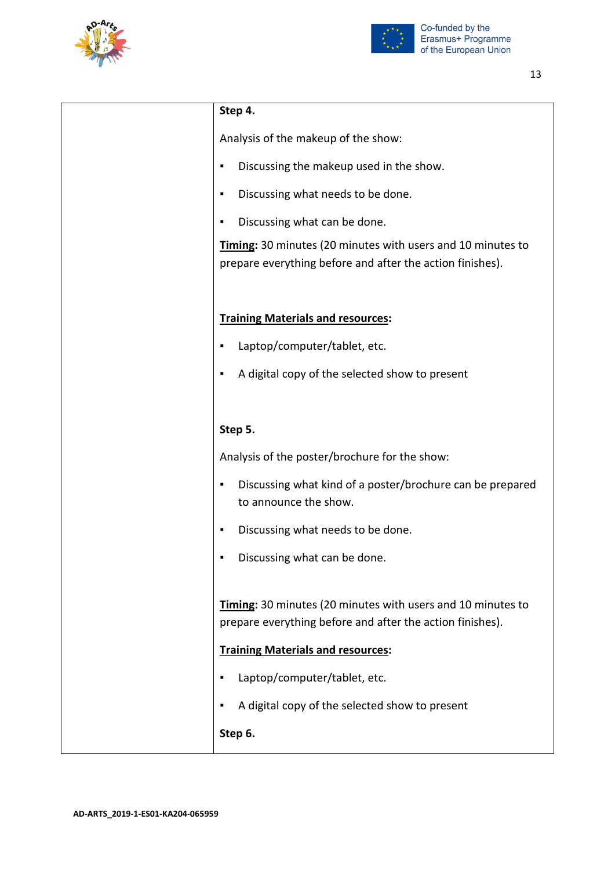



| Step 4.                                                                                                                  |
|--------------------------------------------------------------------------------------------------------------------------|
| Analysis of the makeup of the show:                                                                                      |
| Discussing the makeup used in the show.<br>٠                                                                             |
| Discussing what needs to be done.<br>٠                                                                                   |
| Discussing what can be done.<br>٠                                                                                        |
| Timing: 30 minutes (20 minutes with users and 10 minutes to<br>prepare everything before and after the action finishes). |
| <b>Training Materials and resources:</b>                                                                                 |
| Laptop/computer/tablet, etc.<br>٠                                                                                        |
| A digital copy of the selected show to present<br>٠                                                                      |
|                                                                                                                          |
| Step 5.                                                                                                                  |
| Analysis of the poster/brochure for the show:                                                                            |
| Discussing what kind of a poster/brochure can be prepared<br>٠<br>to announce the show.                                  |
| Discussing what needs to be done.<br>٠                                                                                   |
| Discussing what can be done                                                                                              |
|                                                                                                                          |
| Timing: 30 minutes (20 minutes with users and 10 minutes to<br>prepare everything before and after the action finishes). |
| <b>Training Materials and resources:</b>                                                                                 |
| Laptop/computer/tablet, etc.<br>٠                                                                                        |
| A digital copy of the selected show to present<br>٠                                                                      |
| Step 6.                                                                                                                  |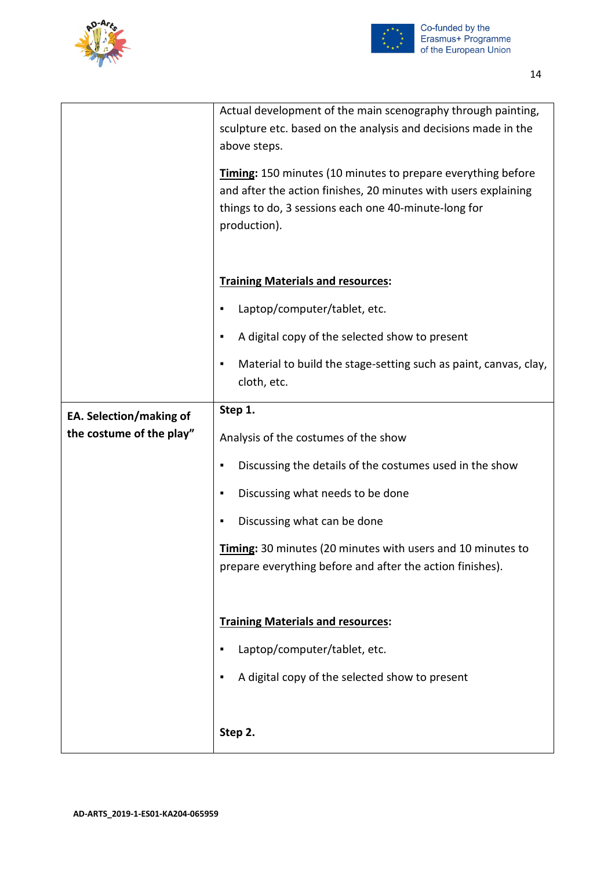



|                          | Actual development of the main scenography through painting,<br>sculpture etc. based on the analysis and decisions made in the<br>above steps.                                                          |
|--------------------------|---------------------------------------------------------------------------------------------------------------------------------------------------------------------------------------------------------|
|                          | Timing: 150 minutes (10 minutes to prepare everything before<br>and after the action finishes, 20 minutes with users explaining<br>things to do, 3 sessions each one 40-minute-long for<br>production). |
|                          | <b>Training Materials and resources:</b>                                                                                                                                                                |
|                          | Laptop/computer/tablet, etc.<br>٠                                                                                                                                                                       |
|                          | A digital copy of the selected show to present<br>٠                                                                                                                                                     |
|                          | Material to build the stage-setting such as paint, canvas, clay,<br>٠<br>cloth, etc.                                                                                                                    |
| EA. Selection/making of  | Step 1.                                                                                                                                                                                                 |
| the costume of the play" | Analysis of the costumes of the show                                                                                                                                                                    |
|                          | Discussing the details of the costumes used in the show<br>٠                                                                                                                                            |
|                          | Discussing what needs to be done<br>٠                                                                                                                                                                   |
|                          | Discussing what can be done<br>٠                                                                                                                                                                        |
|                          | Timing: 30 minutes (20 minutes with users and 10 minutes to<br>prepare everything before and after the action finishes).                                                                                |
|                          | <b>Training Materials and resources:</b>                                                                                                                                                                |
|                          |                                                                                                                                                                                                         |
|                          | Laptop/computer/tablet, etc.<br>٠                                                                                                                                                                       |
|                          | A digital copy of the selected show to present<br>٠                                                                                                                                                     |
|                          |                                                                                                                                                                                                         |
|                          | Step 2.                                                                                                                                                                                                 |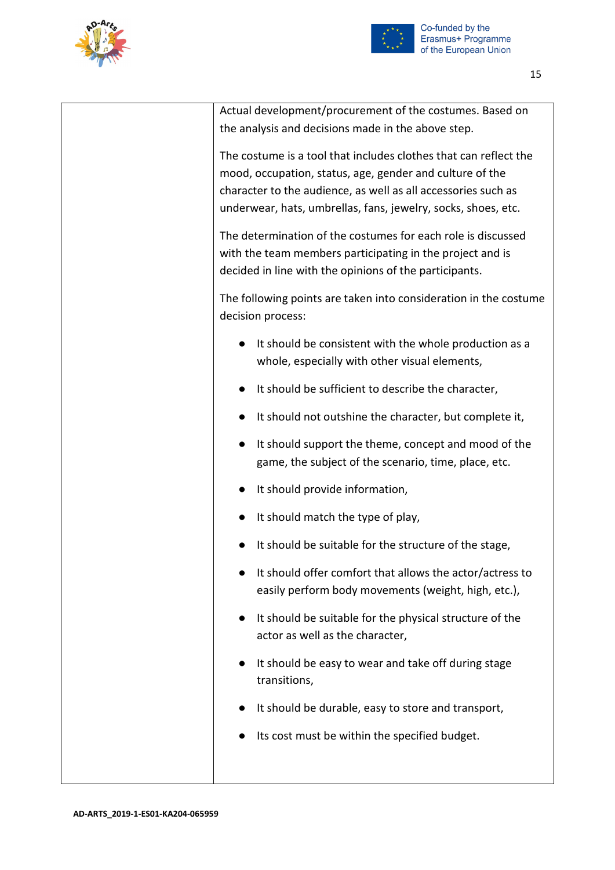



| Actual development/procurement of the costumes. Based on<br>the analysis and decisions made in the above step.                                                                                                                                                 |
|----------------------------------------------------------------------------------------------------------------------------------------------------------------------------------------------------------------------------------------------------------------|
| The costume is a tool that includes clothes that can reflect the<br>mood, occupation, status, age, gender and culture of the<br>character to the audience, as well as all accessories such as<br>underwear, hats, umbrellas, fans, jewelry, socks, shoes, etc. |
| The determination of the costumes for each role is discussed<br>with the team members participating in the project and is<br>decided in line with the opinions of the participants.                                                                            |
| The following points are taken into consideration in the costume<br>decision process:                                                                                                                                                                          |
| It should be consistent with the whole production as a<br>whole, especially with other visual elements,                                                                                                                                                        |
| It should be sufficient to describe the character,                                                                                                                                                                                                             |
| It should not outshine the character, but complete it,                                                                                                                                                                                                         |
| It should support the theme, concept and mood of the<br>game, the subject of the scenario, time, place, etc.                                                                                                                                                   |
| It should provide information,                                                                                                                                                                                                                                 |
| It should match the type of play,                                                                                                                                                                                                                              |
| It should be suitable for the structure of the stage,                                                                                                                                                                                                          |
| It should offer comfort that allows the actor/actress to<br>easily perform body movements (weight, high, etc.),                                                                                                                                                |
| It should be suitable for the physical structure of the<br>actor as well as the character,                                                                                                                                                                     |
| It should be easy to wear and take off during stage<br>transitions,                                                                                                                                                                                            |
| It should be durable, easy to store and transport,                                                                                                                                                                                                             |
| Its cost must be within the specified budget.                                                                                                                                                                                                                  |
|                                                                                                                                                                                                                                                                |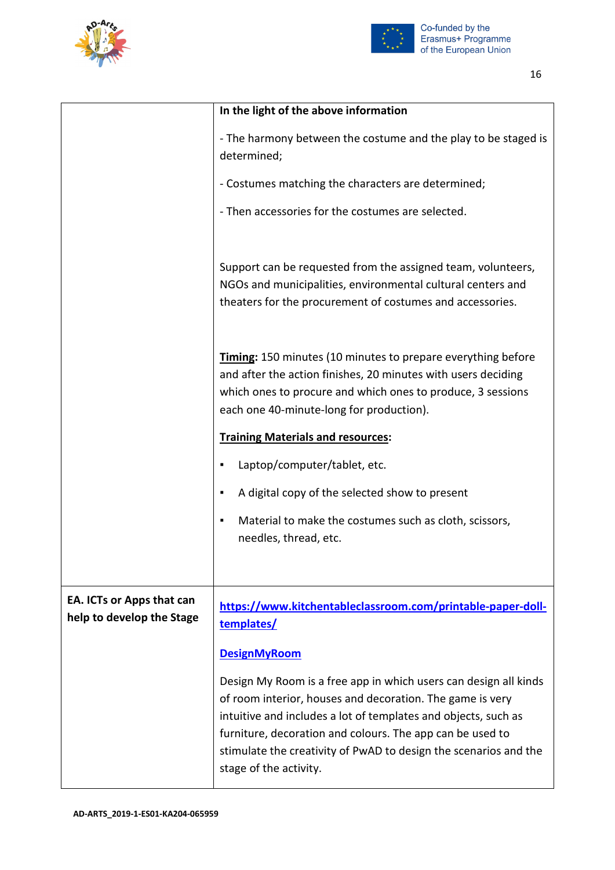



|                                                        | In the light of the above information                                                                                                                                                                                                                                                                                                                      |
|--------------------------------------------------------|------------------------------------------------------------------------------------------------------------------------------------------------------------------------------------------------------------------------------------------------------------------------------------------------------------------------------------------------------------|
|                                                        | - The harmony between the costume and the play to be staged is<br>determined;                                                                                                                                                                                                                                                                              |
|                                                        | - Costumes matching the characters are determined;                                                                                                                                                                                                                                                                                                         |
|                                                        | - Then accessories for the costumes are selected.                                                                                                                                                                                                                                                                                                          |
|                                                        | Support can be requested from the assigned team, volunteers,<br>NGOs and municipalities, environmental cultural centers and<br>theaters for the procurement of costumes and accessories.                                                                                                                                                                   |
|                                                        | Timing: 150 minutes (10 minutes to prepare everything before<br>and after the action finishes, 20 minutes with users deciding<br>which ones to procure and which ones to produce, 3 sessions<br>each one 40-minute-long for production).                                                                                                                   |
|                                                        | <b>Training Materials and resources:</b>                                                                                                                                                                                                                                                                                                                   |
|                                                        | Laptop/computer/tablet, etc.<br>٠                                                                                                                                                                                                                                                                                                                          |
|                                                        | A digital copy of the selected show to present<br>٠                                                                                                                                                                                                                                                                                                        |
|                                                        | Material to make the costumes such as cloth, scissors,<br>٠                                                                                                                                                                                                                                                                                                |
|                                                        | needles, thread, etc.                                                                                                                                                                                                                                                                                                                                      |
|                                                        |                                                                                                                                                                                                                                                                                                                                                            |
| EA. ICTs or Apps that can<br>help to develop the Stage | https://www.kitchentableclassroom.com/printable-paper-doll-<br>templates/                                                                                                                                                                                                                                                                                  |
|                                                        | <b>DesignMyRoom</b>                                                                                                                                                                                                                                                                                                                                        |
|                                                        | Design My Room is a free app in which users can design all kinds<br>of room interior, houses and decoration. The game is very<br>intuitive and includes a lot of templates and objects, such as<br>furniture, decoration and colours. The app can be used to<br>stimulate the creativity of PwAD to design the scenarios and the<br>stage of the activity. |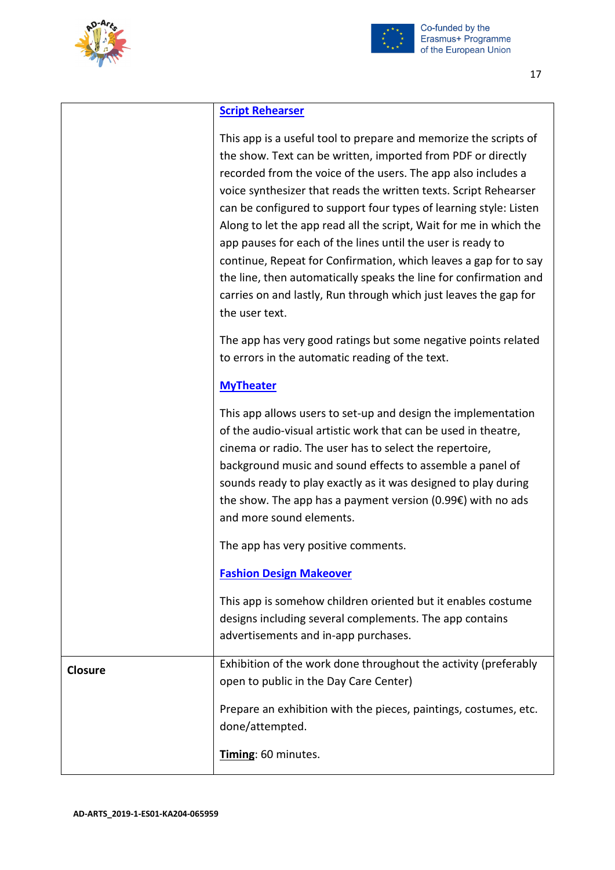



## **[Script Rehearser](https://play.google.com/store/apps/details?id=com.rehearser.rehearser3free)**

|                | This app is a useful tool to prepare and memorize the scripts of<br>the show. Text can be written, imported from PDF or directly<br>recorded from the voice of the users. The app also includes a<br>voice synthesizer that reads the written texts. Script Rehearser<br>can be configured to support four types of learning style: Listen<br>Along to let the app read all the script, Wait for me in which the<br>app pauses for each of the lines until the user is ready to<br>continue, Repeat for Confirmation, which leaves a gap for to say<br>the line, then automatically speaks the line for confirmation and<br>carries on and lastly, Run through which just leaves the gap for<br>the user text. |
|----------------|----------------------------------------------------------------------------------------------------------------------------------------------------------------------------------------------------------------------------------------------------------------------------------------------------------------------------------------------------------------------------------------------------------------------------------------------------------------------------------------------------------------------------------------------------------------------------------------------------------------------------------------------------------------------------------------------------------------|
|                | The app has very good ratings but some negative points related<br>to errors in the automatic reading of the text.                                                                                                                                                                                                                                                                                                                                                                                                                                                                                                                                                                                              |
|                | <b>MyTheater</b>                                                                                                                                                                                                                                                                                                                                                                                                                                                                                                                                                                                                                                                                                               |
|                | This app allows users to set-up and design the implementation<br>of the audio-visual artistic work that can be used in theatre,<br>cinema or radio. The user has to select the repertoire,<br>background music and sound effects to assemble a panel of<br>sounds ready to play exactly as it was designed to play during<br>the show. The app has a payment version (0.99 $\epsilon$ ) with no ads<br>and more sound elements.                                                                                                                                                                                                                                                                                |
|                | The app has very positive comments.                                                                                                                                                                                                                                                                                                                                                                                                                                                                                                                                                                                                                                                                            |
|                | <b>Fashion Design Makeover</b>                                                                                                                                                                                                                                                                                                                                                                                                                                                                                                                                                                                                                                                                                 |
|                | This app is somehow children oriented but it enables costume<br>designs including several complements. The app contains<br>advertisements and in-app purchases.                                                                                                                                                                                                                                                                                                                                                                                                                                                                                                                                                |
| <b>Closure</b> | Exhibition of the work done throughout the activity (preferably<br>open to public in the Day Care Center)                                                                                                                                                                                                                                                                                                                                                                                                                                                                                                                                                                                                      |
|                | Prepare an exhibition with the pieces, paintings, costumes, etc.<br>done/attempted.                                                                                                                                                                                                                                                                                                                                                                                                                                                                                                                                                                                                                            |
|                | Timing: 60 minutes.                                                                                                                                                                                                                                                                                                                                                                                                                                                                                                                                                                                                                                                                                            |